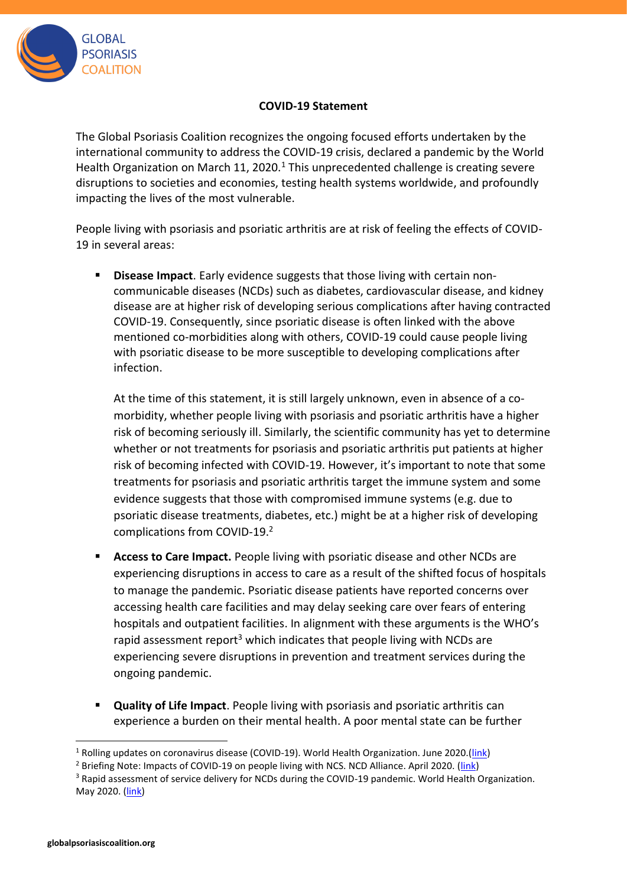

## **COVID-19 Statement**

The Global Psoriasis Coalition recognizes the ongoing focused efforts undertaken by the international community to address the COVID-19 crisis, declared a pandemic by the World Health Organization on March 11, 2020.<sup>1</sup> This unprecedented challenge is creating severe disruptions to societies and economies, testing health systems worldwide, and profoundly impacting the lives of the most vulnerable.

People living with psoriasis and psoriatic arthritis are at risk of feeling the effects of COVID-19 in several areas:

**Disease Impact**. Early evidence suggests that those living with certain noncommunicable diseases (NCDs) such as diabetes, cardiovascular disease, and kidney disease are at higher risk of developing serious complications after having contracted COVID-19. Consequently, since psoriatic disease is often linked with the above mentioned co-morbidities along with others, COVID-19 could cause people living with psoriatic disease to be more susceptible to developing complications after infection.

At the time of this statement, it is still largely unknown, even in absence of a comorbidity, whether people living with psoriasis and psoriatic arthritis have a higher risk of becoming seriously ill. Similarly, the scientific community has yet to determine whether or not treatments for psoriasis and psoriatic arthritis put patients at higher risk of becoming infected with COVID-19. However, it's important to note that some treatments for psoriasis and psoriatic arthritis target the immune system and some evidence suggests that those with compromised immune systems (e.g. due to psoriatic disease treatments, diabetes, etc.) might be at a higher risk of developing complications from COVID-19. 2

- **Access to Care Impact.** People living with psoriatic disease and other NCDs are experiencing disruptions in access to care as a result of the shifted focus of hospitals to manage the pandemic. Psoriatic disease patients have reported concerns over accessing health care facilities and may delay seeking care over fears of entering hospitals and outpatient facilities. In alignment with these arguments is the WHO's rapid assessment report<sup>3</sup> which indicates that people living with NCDs are experiencing severe disruptions in prevention and treatment services during the ongoing pandemic.
- **Quality of Life Impact**. People living with psoriasis and psoriatic arthritis can experience a burden on their mental health. A poor mental state can be further

<sup>&</sup>lt;sup>1</sup> Rolling updates on coronavirus disease (COVID-19). World Health Organization. June 2020.[\(link\)](https://www.who.int/emergencies/diseases/novel-coronavirus-2019/events-as-they-happen)

<sup>&</sup>lt;sup>2</sup> Briefing Note: Impacts of COVID-19 on people living with NCS. NCD Alliance. April 2020. [\(link\)](https://ncdalliance.org/resources/briefing-note-impacts-of-covid-19-on-people-living-with-ncds)

<sup>&</sup>lt;sup>3</sup> Rapid assessment of service delivery for NCDs during the COVID-19 pandemic. World Health Organization. May 2020. [\(link\)](https://www.who.int/publications/m/item/rapid-assessment-of-service-delivery-for-ncds-during-the-covid-19-pandemic)